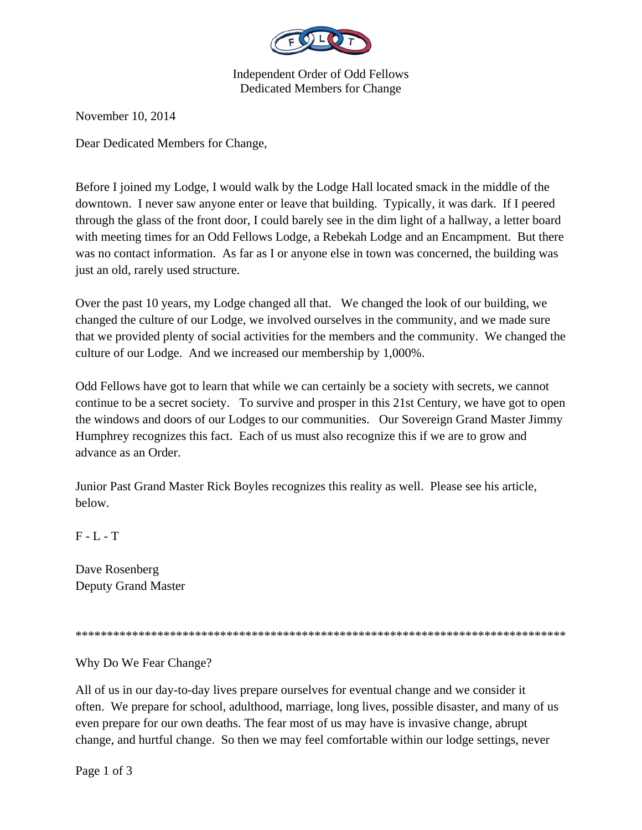

Independent Order of Odd Fellows Dedicated Members for Change

November 10, 2014

Dear Dedicated Members for Change,

Before I joined my Lodge, I would walk by the Lodge Hall located smack in the middle of the downtown. I never saw anyone enter or leave that building. Typically, it was dark. If I peered through the glass of the front door, I could barely see in the dim light of a hallway, a letter board with meeting times for an Odd Fellows Lodge, a Rebekah Lodge and an Encampment. But there was no contact information. As far as I or anyone else in town was concerned, the building was just an old, rarely used structure.

Over the past 10 years, my Lodge changed all that. We changed the look of our building, we changed the culture of our Lodge, we involved ourselves in the community, and we made sure that we provided plenty of social activities for the members and the community. We changed the culture of our Lodge. And we increased our membership by 1,000%.

Odd Fellows have got to learn that while we can certainly be a society with secrets, we cannot continue to be a secret society. To survive and prosper in this 21st Century, we have got to open the windows and doors of our Lodges to our communities. Our Sovereign Grand Master Jimmy Humphrey recognizes this fact. Each of us must also recognize this if we are to grow and advance as an Order.

Junior Past Grand Master Rick Boyles recognizes this reality as well. Please see his article, below.

 $F - L - T$ 

Dave Rosenberg Deputy Grand Master

\*\*\*\*\*\*\*\*\*\*\*\*\*\*\*\*\*\*\*\*\*\*\*\*\*\*\*\*\*\*\*\*\*\*\*\*\*\*\*\*\*\*\*\*\*\*\*\*\*\*\*\*\*\*\*\*\*\*\*\*\*\*\*\*\*\*\*\*\*\*\*\*\*\*\*\*\*\*

Why Do We Fear Change?

All of us in our day-to-day lives prepare ourselves for eventual change and we consider it often. We prepare for school, adulthood, marriage, long lives, possible disaster, and many of us even prepare for our own deaths. The fear most of us may have is invasive change, abrupt change, and hurtful change. So then we may feel comfortable within our lodge settings, never

Page 1 of 3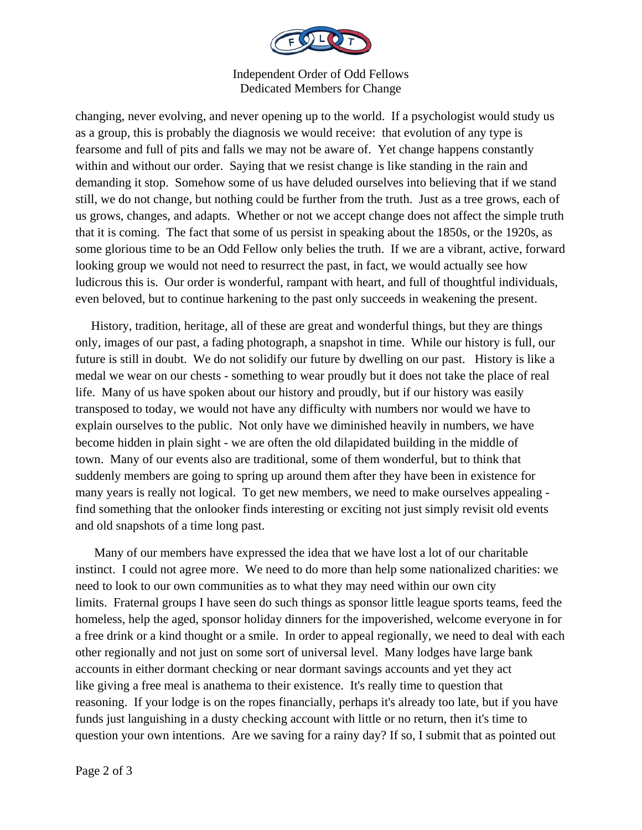

Independent Order of Odd Fellows Dedicated Members for Change

changing, never evolving, and never opening up to the world. If a psychologist would study us as a group, this is probably the diagnosis we would receive: that evolution of any type is fearsome and full of pits and falls we may not be aware of. Yet change happens constantly within and without our order. Saying that we resist change is like standing in the rain and demanding it stop. Somehow some of us have deluded ourselves into believing that if we stand still, we do not change, but nothing could be further from the truth. Just as a tree grows, each of us grows, changes, and adapts. Whether or not we accept change does not affect the simple truth that it is coming. The fact that some of us persist in speaking about the 1850s, or the 1920s, as some glorious time to be an Odd Fellow only belies the truth. If we are a vibrant, active, forward looking group we would not need to resurrect the past, in fact, we would actually see how ludicrous this is. Our order is wonderful, rampant with heart, and full of thoughtful individuals, even beloved, but to continue harkening to the past only succeeds in weakening the present.

 History, tradition, heritage, all of these are great and wonderful things, but they are things only, images of our past, a fading photograph, a snapshot in time. While our history is full, our future is still in doubt. We do not solidify our future by dwelling on our past. History is like a medal we wear on our chests - something to wear proudly but it does not take the place of real life. Many of us have spoken about our history and proudly, but if our history was easily transposed to today, we would not have any difficulty with numbers nor would we have to explain ourselves to the public. Not only have we diminished heavily in numbers, we have become hidden in plain sight - we are often the old dilapidated building in the middle of town. Many of our events also are traditional, some of them wonderful, but to think that suddenly members are going to spring up around them after they have been in existence for many years is really not logical. To get new members, we need to make ourselves appealing find something that the onlooker finds interesting or exciting not just simply revisit old events and old snapshots of a time long past.

 Many of our members have expressed the idea that we have lost a lot of our charitable instinct. I could not agree more. We need to do more than help some nationalized charities: we need to look to our own communities as to what they may need within our own city limits. Fraternal groups I have seen do such things as sponsor little league sports teams, feed the homeless, help the aged, sponsor holiday dinners for the impoverished, welcome everyone in for a free drink or a kind thought or a smile. In order to appeal regionally, we need to deal with each other regionally and not just on some sort of universal level. Many lodges have large bank accounts in either dormant checking or near dormant savings accounts and yet they act like giving a free meal is anathema to their existence. It's really time to question that reasoning. If your lodge is on the ropes financially, perhaps it's already too late, but if you have funds just languishing in a dusty checking account with little or no return, then it's time to question your own intentions. Are we saving for a rainy day? If so, I submit that as pointed out